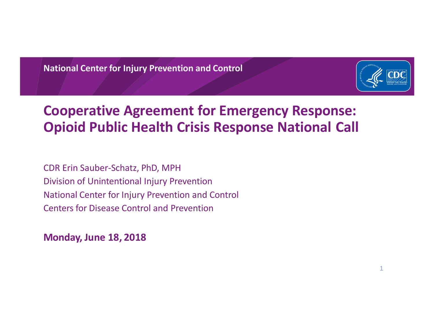**National Center for Injury Prevention and Control**



#### **Cooperative Agreement for Emergency Response: Opioid Public Health Crisis Response National Call**

CDR Erin Sauber-Schatz, PhD, MPH Division of Unintentional Injury Prevention National Center for Injury Prevention and Control Centers for Disease Control and Prevention

**Monday, June 18, 2018**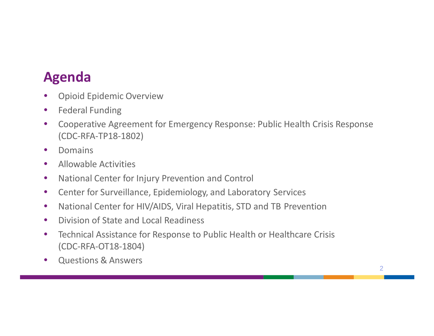# **Agenda**

- Opioid Epidemic Overview
- Federal Funding
- Cooperative Agreement for Emergency Response: Public Health Crisis Response (CDC-RFA-TP18-1802)
- Domains
- Allowable Activities
- National Center for Injury Prevention and Control
- Center for Surveillance, Epidemiology, and Laboratory Services
- National Center for HIV/AIDS, Viral Hepatitis, STD and TB Prevention
- Division of State and Local Readiness
- Technical Assistance for Response to Public Health or Healthcare Crisis (CDC-RFA-OT18-1804)
- Questions & Answers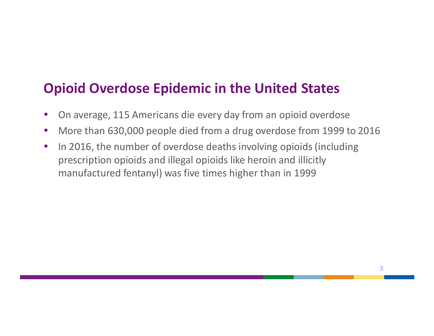#### **Opioid Overdose Epidemic in the United States**

- On average, 115 Americans die every day from an opioid overdose
- More than 630,000 people died from a drug overdose from 1999 to 2016
- In 2016, the number of overdose deaths involving opioids (including prescription opioids and illegal opioids like heroin and illicitly manufactured fentanyl) was five times higher than in 1999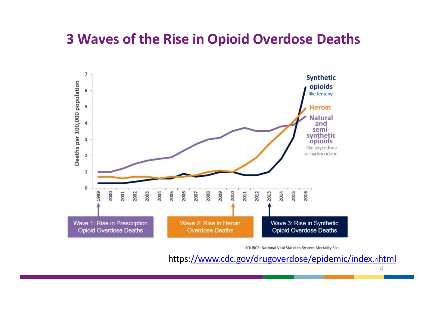#### **3 Waves of the Rise in Opioid Overdose Deaths**



SOURCE: National Vital Statistics System Mortality File.

https[://www.cdc.gov/drugoverdose/epidemic/index.](http://www.cdc.gov/drugoverdose/epidemic/index.4html)4html

4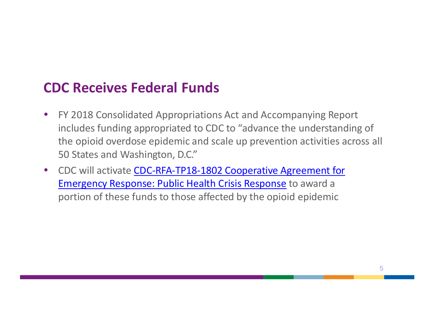#### **CDC Receives Federal Funds**

- FY 2018 Consolidated Appropriations Act and Accompanying Report includes funding appropriated to CDC to "advance the understanding of the opioid overdose epidemic and scale up prevention activities across all 50 States and Washington, D.C."
- CDC will activate CDC-RFA-TP18-1802 Cooperative Agreement for Emergency Response: Public Health Crisis Response to award a portion of these funds to those affected by the opioid epidemic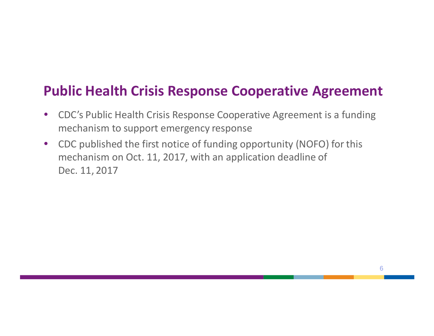#### **Public Health Crisis Response Cooperative Agreement**

- CDC's Public Health Crisis Response Cooperative Agreement is a funding mechanism to support emergency response
- CDC published the first notice of funding opportunity (NOFO) for this mechanism on Oct. 11, 2017, with an application deadline of Dec. 11, 2017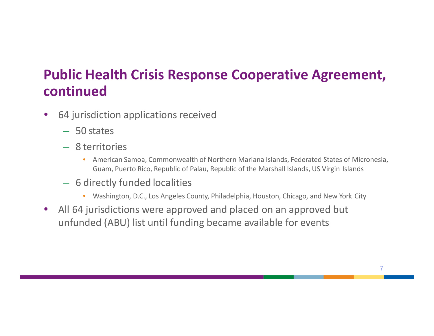### **Public Health Crisis Response Cooperative Agreement, continued**

- 64 jurisdiction applications received
	- 50 states
	- 8 territories
		- American Samoa, Commonwealth of Northern Mariana Islands, Federated States of Micronesia, Guam, Puerto Rico, Republic of Palau, Republic of the Marshall Islands, US Virgin Islands
	- 6 directly funded localities
		- Washington, D.C., Los Angeles County, Philadelphia, Houston, Chicago, and New York City
- All 64 jurisdictions were approved and placed on an approved but unfunded (ABU) list until funding became available for events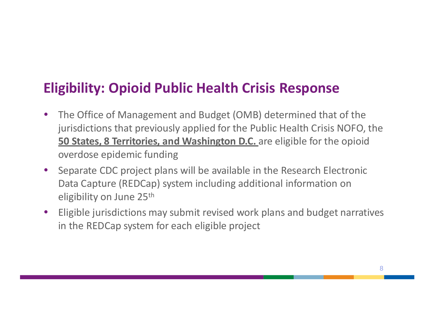### **Eligibility: Opioid Public Health Crisis Response**

- The Office of Management and Budget (OMB) determined that of the jurisdictions that previously applied for the Public Health Crisis NOFO, the **50 States, 8 Territories, and Washington D.C.** are eligible for the opioid overdose epidemic funding
- Separate CDC project plans will be available in the Research Electronic Data Capture (REDCap) system including additional information on eligibility on June 25th
- Eligible jurisdictions may submit revised work plans and budget narratives in the REDCap system for each eligible project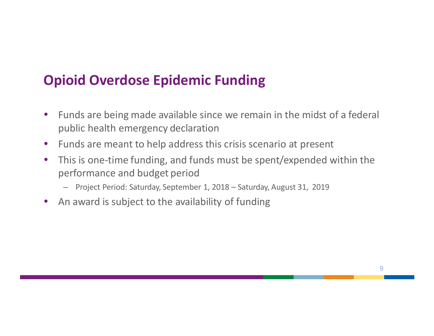### **Opioid Overdose Epidemic Funding**

- Funds are being made available since we remain in the midst of a federal public health emergency declaration
- Funds are meant to help address this crisis scenario at present
- This is one-time funding, and funds must be spent/expended within the performance and budget period
	- Project Period: Saturday, September 1, 2018 Saturday, August 31, 2019
- An award is subject to the availability of funding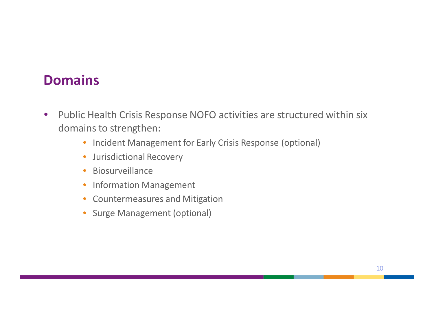#### **Domains**

- Public Health Crisis Response NOFO activities are structured within six domains to strengthen:
	- Incident Management for Early Crisis Response (optional)
	- Jurisdictional Recovery
	- Biosurveillance
	- Information Management
	- Countermeasures and Mitigation
	- Surge Management (optional)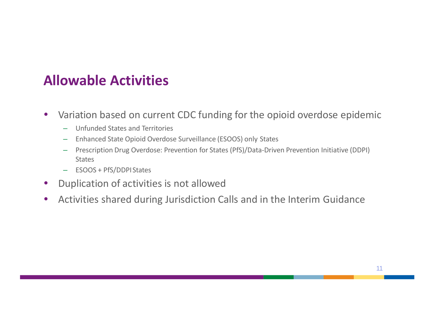#### **Allowable Activities**

- Variation based on current CDC funding for the opioid overdose epidemic
	- Unfunded States and Territories
	- Enhanced State Opioid Overdose Surveillance (ESOOS) only States
	- Prescription Drug Overdose: Prevention for States (PfS)/Data-Driven Prevention Initiative (DDPI) **States**
	- ESOOS + PfS/DDPI States
- Duplication of activities is not allowed
- Activities shared during Jurisdiction Calls and in the Interim Guidance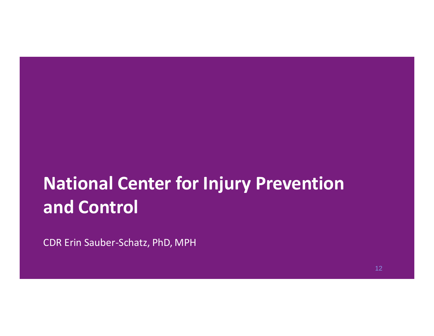# **National Center for Injury Prevention and Control**

CDR Erin Sauber-Schatz, PhD, MPH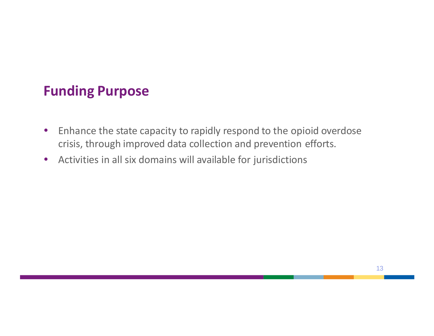#### **Funding Purpose**

- Enhance the state capacity to rapidly respond to the opioid overdose crisis, through improved data collection and prevention efforts.
- Activities in all six domains will available for jurisdictions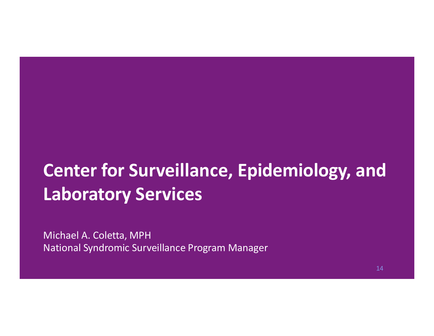# **Center for Surveillance, Epidemiology, and Laboratory Services**

Michael A. Coletta, MPH National Syndromic Surveillance Program Manager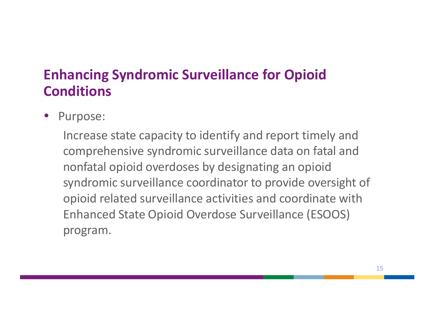### **Enhancing Syndromic Surveillance for Opioid Conditions**

• Purpose:

Increase state capacity to identify and report timely and comprehensive syndromic surveillance data on fatal and nonfatal opioid overdoses by designating an opioid syndromic surveillance coordinator to provide oversight of opioid related surveillance activities and coordinate with Enhanced State Opioid Overdose Surveillance (ESOOS) program.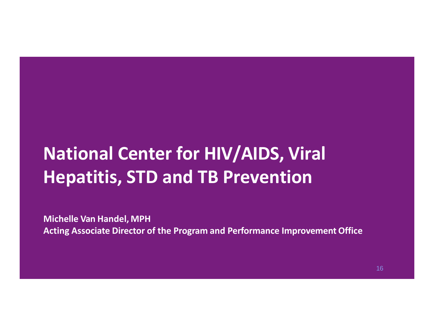# **National Center for HIV/AIDS, Viral Hepatitis, STD and TB Prevention**

**Michelle Van Handel, MPH Acting Associate Director of the Program and Performance Improvement Office**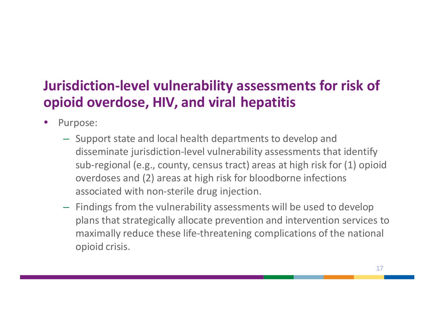# **Jurisdiction-level vulnerability assessments for risk of opioid overdose, HIV, and viral hepatitis**

- Purpose:
	- Support state and local health departments to develop and disseminate jurisdiction-level vulnerability assessments that identify sub-regional (e.g., county, census tract) areas at high risk for (1) opioid overdoses and (2) areas at high risk for bloodborne infections associated with non-sterile drug injection.
	- Findings from the vulnerability assessments will be used to develop plans that strategically allocate prevention and intervention services to maximally reduce these life-threatening complications of the national opioid crisis.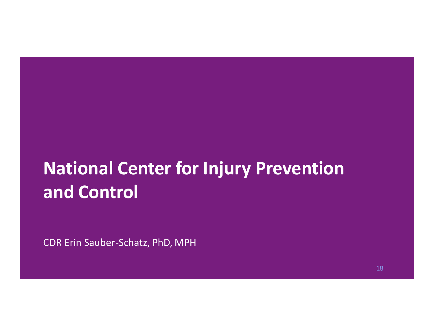# **National Center for Injury Prevention and Control**

CDR Erin Sauber-Schatz, PhD, MPH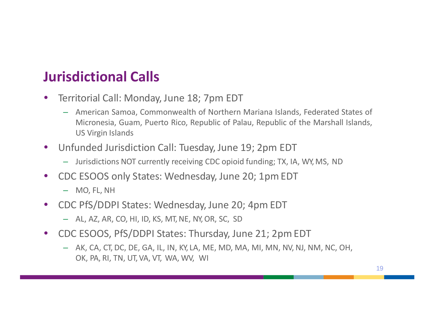## **Jurisdictional Calls**

- Territorial Call: Monday, June 18; 7pm EDT
	- American Samoa, Commonwealth of Northern Mariana Islands, Federated States of Micronesia, Guam, Puerto Rico, Republic of Palau, Republic of the Marshall Islands, US Virgin Islands
- Unfunded Jurisdiction Call: Tuesday, June 19; 2pm EDT
	- Jurisdictions NOT currently receiving CDC opioid funding; TX, IA, WY, MS, ND
- CDC ESOOS only States: Wednesday, June 20; 1pm EDT
	- MO, FL, NH
- CDC PfS/DDPI States: Wednesday, June 20; 4pm EDT
	- AL, AZ, AR, CO, HI, ID, KS, MT, NE, NY, OR, SC, SD
- CDC ESOOS, PfS/DDPI States: Thursday, June 21; 2pm EDT
	- AK, CA, CT, DC, DE, GA, IL, IN, KY, LA, ME, MD, MA, MI, MN, NV, NJ, NM, NC, OH, OK, PA, RI, TN, UT, VA, VT, WA, WV, WI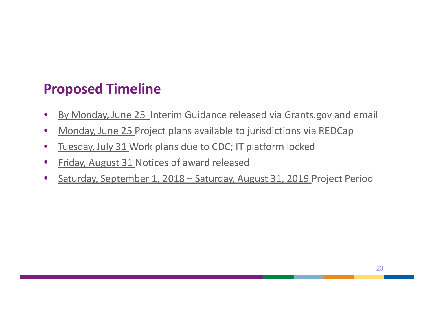## **Proposed Timeline**

- By Monday, June 25 Interim Guidance released via Grants.gov and email
- Monday, June 25 Project plans available to jurisdictions via REDCap
- Tuesday, July 31 Work plans due to CDC; IT platform locked
- Friday, August 31 Notices of award released
- Saturday, September 1, 2018 Saturday, August 31, 2019 Project Period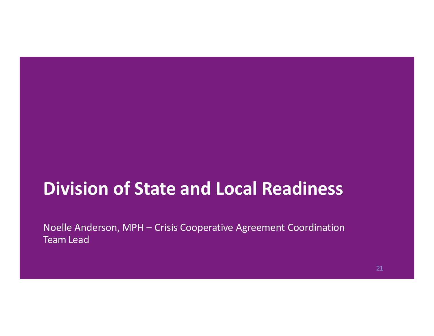# **Division of State and Local Readiness**

Noelle Anderson, MPH – Crisis Cooperative Agreement Coordination Team Lead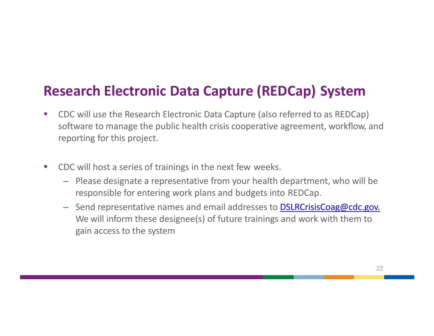#### **Research Electronic Data Capture (REDCap) System**

- CDC will use the Research Electronic Data Capture (also referred to as REDCap) software to manage the public health crisis cooperative agreement, workflow, and reporting for this project.
- CDC will host a series of trainings in the next few weeks.
	- Please designate a representative from your health department, who will be responsible for entering work plans and budgets into REDCap.
	- Send representative names and email addresses to **DSLRCrisisCoag@cdc.gov.** We will inform these designee(s) of future trainings and work with them to gain access to the system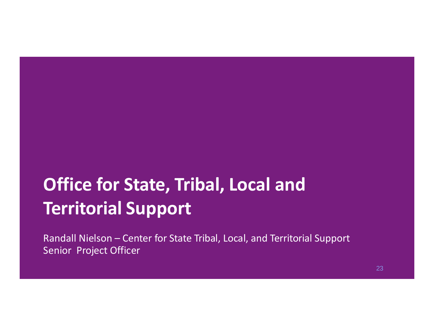# **Office for State, Tribal, Local and Territorial Support**

Randall Nielson – Center for State Tribal, Local, and Territorial Support Senior Project Officer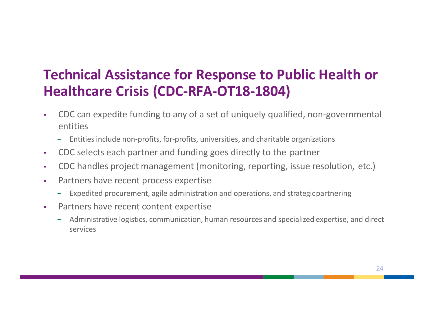## **Technical Assistance for Response to Public Health or Healthcare Crisis (CDC-RFA-OT18-1804)**

- CDC can expedite funding to any of a set of uniquely qualified, non-governmental entities
	- − Entities include non-profits, for-profits, universities, and charitable organizations
- CDC selects each partner and funding goes directly to the partner
- CDC handles project management (monitoring, reporting, issue resolution, etc.)
- Partners have recent process expertise
	- − Expedited procurement, agile administration and operations, and strategicpartnering
- Partners have recent content expertise
	- − Administrative logistics, communication, human resources and specialized expertise, and direct services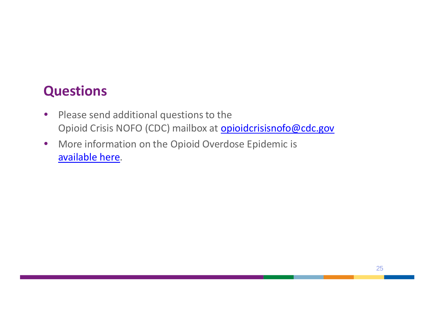#### **Questions**

- Please send additional questions to the Opioid Crisis NOFO (CDC) mailbox at **[opioidcrisisnofo@cdc.gov](mailto:opioidcrisisnofo@cdc.gov)**
- More information on the Opioid Overdose Epidemic is [available here](https://www.cdc.gov/drugoverdose/index.html).